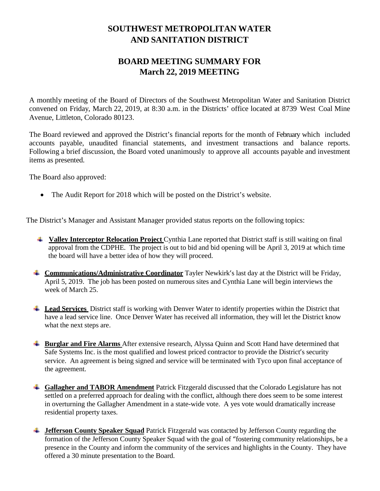## **SOUTHWEST METROPOLITAN WATER AND SANITATION DISTRICT**

## **BOARD MEETING SUMMARY FOR March 22, 2019 MEETING**

A monthly meeting of the Board of Directors of the Southwest Metropolitan Water and Sanitation District convened on Friday, March 22, 2019, at 8:30 a.m. in the Districts' office located at 8739 West Coal Mine Avenue, Littleton, Colorado 80123.

The Board reviewed and approved the District's financial reports for the month of February which included accounts payable, unaudited financial statements, and investment transactions and balance reports. Following a brief discussion, the Board voted unanimously to approve all accounts payable and investment items as presented.

The Board also approved:

• The Audit Report for 2018 which will be posted on the District's website.

The District's Manager and Assistant Manager provided status reports on the following topics:

- **Valley Interceptor Relocation Project** Cynthia Lane reported that District staff is still waiting on final approval from the CDPHE. The project is out to bid and bid opening will be April 3, 2019 at which time the board will have a better idea of how they will proceed.
- **Communications/Administrative Coordinator** Tayler Newkirk's last day at the District will be Friday, April 5, 2019. The job has been posted on numerous sites and Cynthia Lane will begin interviews the week of March 25.
- **Lead Services** District staff is working with Denver Water to identify properties within the District that have a lead service line. Once Denver Water has received all information, they will let the District know what the next steps are.
- **Burglar and Fire Alarms** After extensive research, Alyssa Quinn and Scott Hand have determined that Safe Systems Inc. is the most qualified and lowest priced contractor to provide the District's security service. An agreement is being signed and service will be terminated with Tyco upon final acceptance of the agreement.
- **Gallagher and TABOR Amendment** Patrick Fitzgerald discussed that the Colorado Legislature has not settled on a preferred approach for dealing with the conflict, although there does seem to be some interest in overturning the Gallagher Amendment in a state-wide vote. A yes vote would dramatically increase residential property taxes.
- **Jefferson County Speaker Squad** Patrick Fitzgerald was contacted by Jefferson County regarding the formation of the Jefferson County Speaker Squad with the goal of "fostering community relationships, be a presence in the County and inform the community of the services and highlights in the County. They have offered a 30 minute presentation to the Board.